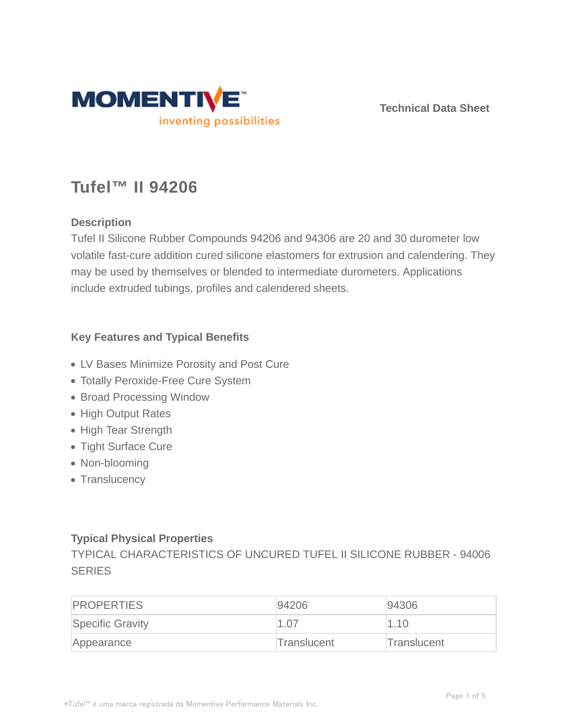

**Technical Data Sheet**

# **Tufel™ II 94206**

#### **Description**

Tufel II Silicone Rubber Compounds 94206 and 94306 are 20 and 30 durometer low volatile fast-cure addition cured silicone elastomers for extrusion and calendering. They may be used by themselves or blended to intermediate durometers. Applications include extruded tubings, profiles and calendered sheets.

#### **Key Features and Typical Benefits**

- LV Bases Minimize Porosity and Post Cure
- Totally Peroxide-Free Cure System
- Broad Processing Window
- High Output Rates
- High Tear Strength
- Tight Surface Cure
- Non-blooming
- Translucency

#### **Typical Physical Properties**

TYPICAL CHARACTERISTICS OF UNCURED TUFEL II SILICONE RUBBER - 94006 **SERIES** 

| <b>PROPERTIES</b>       | 94206       | 94306       |
|-------------------------|-------------|-------------|
| <b>Specific Gravity</b> | 1.07        | 1.10        |
| Appearance              | Translucent | Translucent |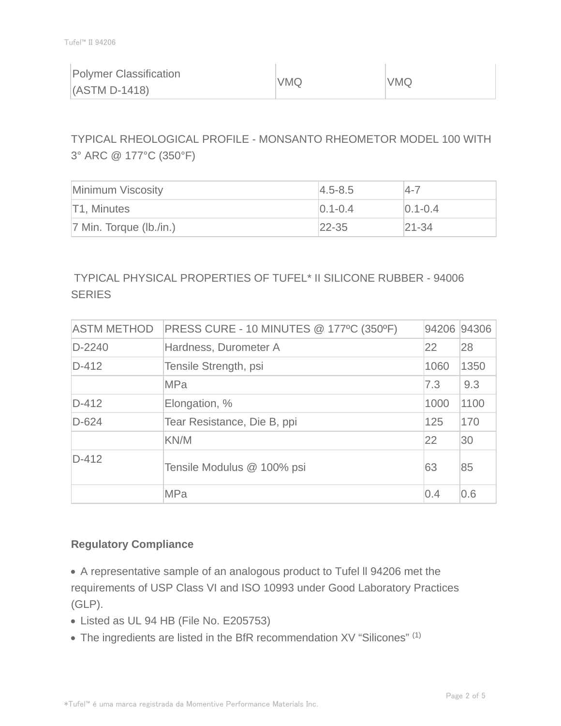|  | Polymer Classification<br>$(ASTM D-1418)$ | VMQ | VMQ |
|--|-------------------------------------------|-----|-----|
|--|-------------------------------------------|-----|-----|

TYPICAL RHEOLOGICAL PROFILE - MONSANTO RHEOMETOR MODEL 100 WITH 3° ARC @ 177°C (350°F)

| Minimum Viscosity          | $4.5 - 8.5$   | $14 - 7$      |
|----------------------------|---------------|---------------|
| T1, Minutes                | $ 0.1 - 0.4 $ | $ 0.1 - 0.4 $ |
| $ 7$ Min. Torque (lb./in.) | $22 - 35$     | $ 21 - 34$    |

### TYPICAL PHYSICAL PROPERTIES OF TUFEL\* II SILICONE RUBBER - 94006 **SERIES**

| <b>ASTM METHOD</b> | PRESS CURE - 10 MINUTES @ 177°C (350°F) | 94206 94306 |      |
|--------------------|-----------------------------------------|-------------|------|
| $D-2240$           | Hardness, Durometer A                   | 22          | 28   |
| $D-412$            | Tensile Strength, psi                   | 1060        | 1350 |
|                    | <b>MPa</b>                              | 7.3         | 9.3  |
| $D-412$            | Elongation, %                           | 1000        | 1100 |
| $D-624$            | Tear Resistance, Die B, ppi             | 125         | 170  |
|                    | KN/M                                    | 22          | 30   |
| $D-412$            | Tensile Modulus @ 100% psi              | 63          | 85   |
|                    | <b>MPa</b>                              | 0.4         | 0.6  |

#### **Regulatory Compliance**

A representative sample of an analogous product to Tufel ll 94206 met the requirements of USP Class VI and ISO 10993 under Good Laboratory Practices (GLP).

- Listed as UL 94 HB (File No. E205753)
- The ingredients are listed in the BfR recommendation XV "Silicones" (1)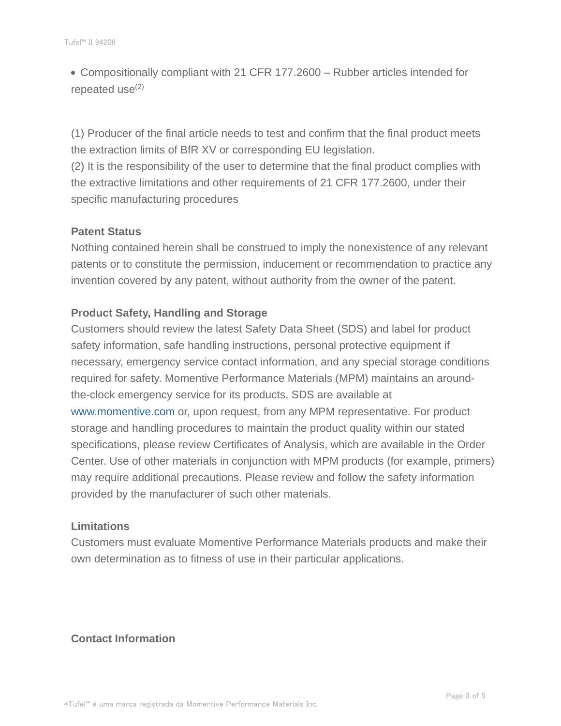Compositionally compliant with 21 CFR 177.2600 – Rubber articles intended for repeated use $(2)$ 

(1) Producer of the final article needs to test and confirm that the final product meets the extraction limits of BfR XV or corresponding EU legislation.

(2) It is the responsibility of the user to determine that the final product complies with the extractive limitations and other requirements of 21 CFR 177.2600, under their specific manufacturing procedures

#### **Patent Status**

Nothing contained herein shall be construed to imply the nonexistence of any relevant patents or to constitute the permission, inducement or recommendation to practice any invention covered by any patent, without authority from the owner of the patent.

#### **Product Safety, Handling and Storage**

Customers should review the latest Safety Data Sheet (SDS) and label for product safety information, safe handling instructions, personal protective equipment if necessary, emergency service contact information, and any special storage conditions required for safety. Momentive Performance Materials (MPM) maintains an aroundthe-clock emergency service for its products. SDS are available at www.momentive.com or, upon request, from any MPM representative. For product storage and handling procedures to maintain the product quality within our stated specifications, please review Certificates of Analysis, which are available in the Order Center. Use of other materials in conjunction with MPM products (for example, primers) may require additional precautions. Please review and follow the safety information provided by the manufacturer of such other materials.

#### **Limitations**

Customers must evaluate Momentive Performance Materials products and make their own determination as to fitness of use in their particular applications.

#### **Contact Information**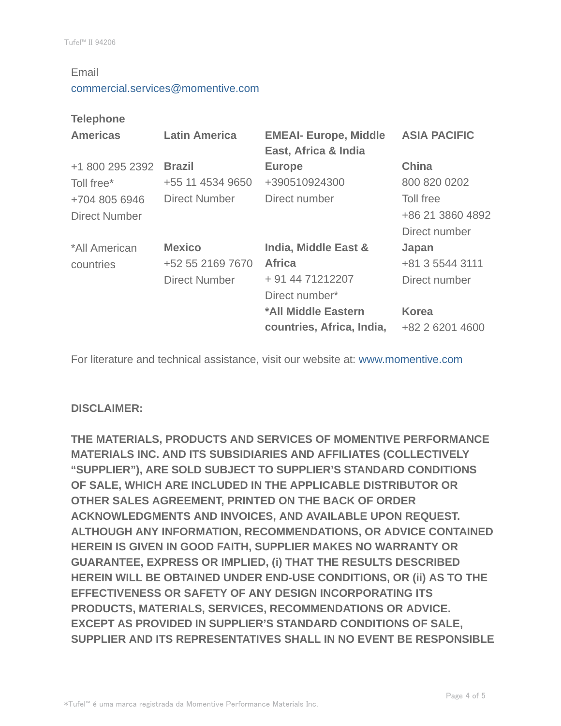#### Email

#### commercial.services@momentive.com

#### **Telephone**

| <b>Americas</b>      | <b>Latin America</b> | <b>EMEAI- Europe, Middle</b><br>East, Africa & India | <b>ASIA PACIFIC</b> |
|----------------------|----------------------|------------------------------------------------------|---------------------|
| +1 800 295 2392      | <b>Brazil</b>        | <b>Europe</b>                                        | <b>China</b>        |
| Toll free*           | +55 11 4534 9650     | +390510924300                                        | 800 820 0202        |
| +704 805 6946        | <b>Direct Number</b> | Direct number                                        | Toll free           |
| <b>Direct Number</b> |                      |                                                      | +86 21 3860 4892    |
|                      |                      |                                                      | Direct number       |
| *All American        | <b>Mexico</b>        | India, Middle East &                                 | Japan               |
| countries            | +52 55 2169 7670     | <b>Africa</b>                                        | +81 3 5544 3111     |
|                      | <b>Direct Number</b> | + 91 44 71212207                                     | Direct number       |
|                      |                      | Direct number*                                       |                     |
|                      |                      | *All Middle Eastern                                  | <b>Korea</b>        |
|                      |                      | countries, Africa, India,                            | +82 2 6201 4600     |

For literature and technical assistance, visit our website at: www.momentive.com

#### **DISCLAIMER:**

**THE MATERIALS, PRODUCTS AND SERVICES OF MOMENTIVE PERFORMANCE MATERIALS INC. AND ITS SUBSIDIARIES AND AFFILIATES (COLLECTIVELY "SUPPLIER"), ARE SOLD SUBJECT TO SUPPLIER'S STANDARD CONDITIONS OF SALE, WHICH ARE INCLUDED IN THE APPLICABLE DISTRIBUTOR OR OTHER SALES AGREEMENT, PRINTED ON THE BACK OF ORDER ACKNOWLEDGMENTS AND INVOICES, AND AVAILABLE UPON REQUEST. ALTHOUGH ANY INFORMATION, RECOMMENDATIONS, OR ADVICE CONTAINED HEREIN IS GIVEN IN GOOD FAITH, SUPPLIER MAKES NO WARRANTY OR GUARANTEE, EXPRESS OR IMPLIED, (i) THAT THE RESULTS DESCRIBED HEREIN WILL BE OBTAINED UNDER END-USE CONDITIONS, OR (ii) AS TO THE EFFECTIVENESS OR SAFETY OF ANY DESIGN INCORPORATING ITS PRODUCTS, MATERIALS, SERVICES, RECOMMENDATIONS OR ADVICE. EXCEPT AS PROVIDED IN SUPPLIER'S STANDARD CONDITIONS OF SALE, SUPPLIER AND ITS REPRESENTATIVES SHALL IN NO EVENT BE RESPONSIBLE**